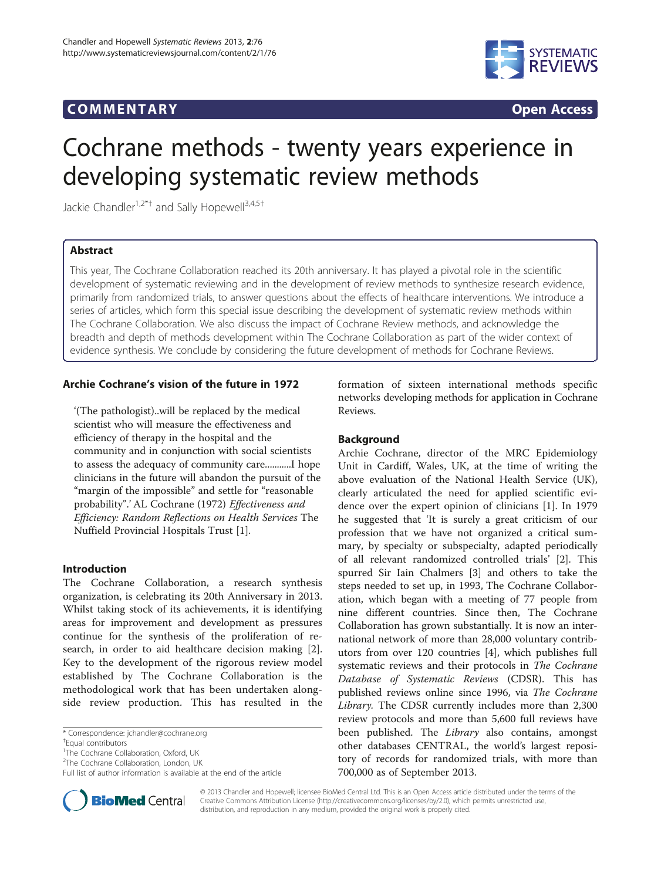## COMM EN TARY Open Access



# Cochrane methods - twenty years experience in developing systematic review methods

Jackie Chandler<sup>1,2\*†</sup> and Sally Hopewell<sup>3,4,5†</sup>

## Abstract

This year, The Cochrane Collaboration reached its 20th anniversary. It has played a pivotal role in the scientific development of systematic reviewing and in the development of review methods to synthesize research evidence, primarily from randomized trials, to answer questions about the effects of healthcare interventions. We introduce a series of articles, which form this special issue describing the development of systematic review methods within The Cochrane Collaboration. We also discuss the impact of Cochrane Review methods, and acknowledge the breadth and depth of methods development within The Cochrane Collaboration as part of the wider context of evidence synthesis. We conclude by considering the future development of methods for Cochrane Reviews.

## Archie Cochrane's vision of the future in 1972

'(The pathologist)..will be replaced by the medical scientist who will measure the effectiveness and efficiency of therapy in the hospital and the community and in conjunction with social scientists to assess the adequacy of community care...........I hope clinicians in the future will abandon the pursuit of the "margin of the impossible" and settle for "reasonable probability".' AL Cochrane (1972) Effectiveness and Efficiency: Random Reflections on Health Services The Nuffield Provincial Hospitals Trust [[1\]](#page-4-0).

## Introduction

The Cochrane Collaboration, a research synthesis organization, is celebrating its 20th Anniversary in 2013. Whilst taking stock of its achievements, it is identifying areas for improvement and development as pressures continue for the synthesis of the proliferation of research, in order to aid healthcare decision making [\[2](#page-4-0)]. Key to the development of the rigorous review model established by The Cochrane Collaboration is the methodological work that has been undertaken alongside review production. This has resulted in the

\* Correspondence: [jchandler@cochrane.org](mailto:jchandler@cochrane.org) †



## Background

Archie Cochrane, director of the MRC Epidemiology Unit in Cardiff, Wales, UK, at the time of writing the above evaluation of the National Health Service (UK), clearly articulated the need for applied scientific evidence over the expert opinion of clinicians [\[1](#page-4-0)]. In 1979 he suggested that 'It is surely a great criticism of our profession that we have not organized a critical summary, by specialty or subspecialty, adapted periodically of all relevant randomized controlled trials' [[2](#page-4-0)]. This spurred Sir Iain Chalmers [[3\]](#page-4-0) and others to take the steps needed to set up, in 1993, The Cochrane Collaboration, which began with a meeting of 77 people from nine different countries. Since then, The Cochrane Collaboration has grown substantially. It is now an international network of more than 28,000 voluntary contributors from over 120 countries [[4\]](#page-4-0), which publishes full systematic reviews and their protocols in The Cochrane Database of Systematic Reviews (CDSR). This has published reviews online since 1996, via The Cochrane Library. The CDSR currently includes more than 2,300 review protocols and more than 5,600 full reviews have been published. The *Library* also contains, amongst other databases CENTRAL, the world's largest repository of records for randomized trials, with more than 700,000 as of September 2013.



© 2013 Chandler and Hopewell; licensee BioMed Central Ltd. This is an Open Access article distributed under the terms of the Creative Commons Attribution License (<http://creativecommons.org/licenses/by/2.0>), which permits unrestricted use, distribution, and reproduction in any medium, provided the original work is properly cited.

Equal contributors

<sup>&</sup>lt;sup>1</sup>The Cochrane Collaboration, Oxford, UK

<sup>&</sup>lt;sup>2</sup>The Cochrane Collaboration, London, UK

Full list of author information is available at the end of the article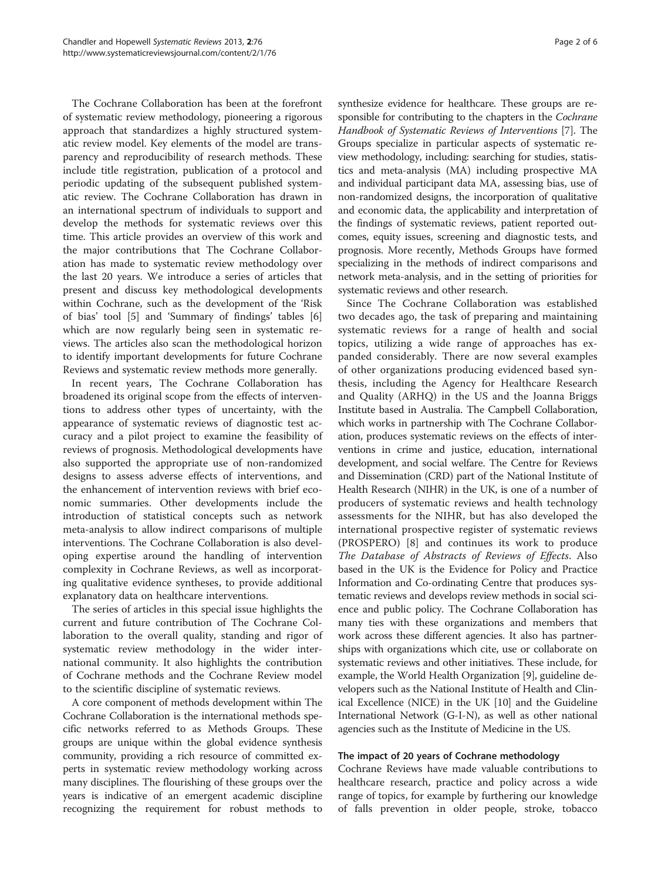The Cochrane Collaboration has been at the forefront of systematic review methodology, pioneering a rigorous approach that standardizes a highly structured systematic review model. Key elements of the model are transparency and reproducibility of research methods. These include title registration, publication of a protocol and periodic updating of the subsequent published systematic review. The Cochrane Collaboration has drawn in an international spectrum of individuals to support and develop the methods for systematic reviews over this time. This article provides an overview of this work and the major contributions that The Cochrane Collaboration has made to systematic review methodology over the last 20 years. We introduce a series of articles that present and discuss key methodological developments within Cochrane, such as the development of the 'Risk of bias' tool [[5\]](#page-4-0) and 'Summary of findings' tables [\[6](#page-4-0)] which are now regularly being seen in systematic reviews. The articles also scan the methodological horizon to identify important developments for future Cochrane Reviews and systematic review methods more generally.

In recent years, The Cochrane Collaboration has broadened its original scope from the effects of interventions to address other types of uncertainty, with the appearance of systematic reviews of diagnostic test accuracy and a pilot project to examine the feasibility of reviews of prognosis. Methodological developments have also supported the appropriate use of non-randomized designs to assess adverse effects of interventions, and the enhancement of intervention reviews with brief economic summaries. Other developments include the introduction of statistical concepts such as network meta-analysis to allow indirect comparisons of multiple interventions. The Cochrane Collaboration is also developing expertise around the handling of intervention complexity in Cochrane Reviews, as well as incorporating qualitative evidence syntheses, to provide additional explanatory data on healthcare interventions.

The series of articles in this special issue highlights the current and future contribution of The Cochrane Collaboration to the overall quality, standing and rigor of systematic review methodology in the wider international community. It also highlights the contribution of Cochrane methods and the Cochrane Review model to the scientific discipline of systematic reviews.

A core component of methods development within The Cochrane Collaboration is the international methods specific networks referred to as Methods Groups. These groups are unique within the global evidence synthesis community, providing a rich resource of committed experts in systematic review methodology working across many disciplines. The flourishing of these groups over the years is indicative of an emergent academic discipline recognizing the requirement for robust methods to

synthesize evidence for healthcare. These groups are responsible for contributing to the chapters in the Cochrane Handbook of Systematic Reviews of Interventions [\[7\]](#page-4-0). The Groups specialize in particular aspects of systematic review methodology, including: searching for studies, statistics and meta-analysis (MA) including prospective MA and individual participant data MA, assessing bias, use of non-randomized designs, the incorporation of qualitative and economic data, the applicability and interpretation of the findings of systematic reviews, patient reported outcomes, equity issues, screening and diagnostic tests, and prognosis. More recently, Methods Groups have formed specializing in the methods of indirect comparisons and network meta-analysis, and in the setting of priorities for systematic reviews and other research.

Since The Cochrane Collaboration was established two decades ago, the task of preparing and maintaining systematic reviews for a range of health and social topics, utilizing a wide range of approaches has expanded considerably. There are now several examples of other organizations producing evidenced based synthesis, including the Agency for Healthcare Research and Quality (ARHQ) in the US and the Joanna Briggs Institute based in Australia. The Campbell Collaboration, which works in partnership with The Cochrane Collaboration, produces systematic reviews on the effects of interventions in crime and justice, education, international development, and social welfare. The Centre for Reviews and Dissemination (CRD) part of the National Institute of Health Research (NIHR) in the UK, is one of a number of producers of systematic reviews and health technology assessments for the NIHR, but has also developed the international prospective register of systematic reviews (PROSPERO) [[8\]](#page-4-0) and continues its work to produce The Database of Abstracts of Reviews of Effects. Also based in the UK is the Evidence for Policy and Practice Information and Co-ordinating Centre that produces systematic reviews and develops review methods in social science and public policy. The Cochrane Collaboration has many ties with these organizations and members that work across these different agencies. It also has partnerships with organizations which cite, use or collaborate on systematic reviews and other initiatives. These include, for example, the World Health Organization [\[9](#page-4-0)], guideline developers such as the National Institute of Health and Clinical Excellence (NICE) in the UK [\[10\]](#page-4-0) and the Guideline International Network (G-I-N), as well as other national agencies such as the Institute of Medicine in the US.

#### The impact of 20 years of Cochrane methodology

Cochrane Reviews have made valuable contributions to healthcare research, practice and policy across a wide range of topics, for example by furthering our knowledge of falls prevention in older people, stroke, tobacco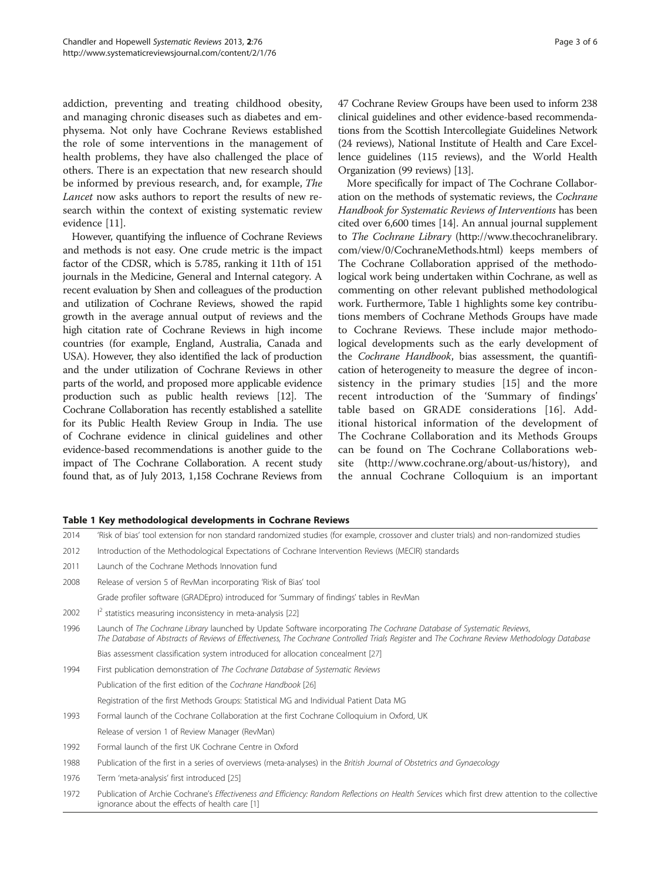addiction, preventing and treating childhood obesity, and managing chronic diseases such as diabetes and emphysema. Not only have Cochrane Reviews established the role of some interventions in the management of health problems, they have also challenged the place of others. There is an expectation that new research should be informed by previous research, and, for example, The Lancet now asks authors to report the results of new research within the context of existing systematic review evidence [\[11\]](#page-4-0).

However, quantifying the influence of Cochrane Reviews and methods is not easy. One crude metric is the impact factor of the CDSR, which is 5.785, ranking it 11th of 151 journals in the Medicine, General and Internal category. A recent evaluation by Shen and colleagues of the production and utilization of Cochrane Reviews, showed the rapid growth in the average annual output of reviews and the high citation rate of Cochrane Reviews in high income countries (for example, England, Australia, Canada and USA). However, they also identified the lack of production and the under utilization of Cochrane Reviews in other parts of the world, and proposed more applicable evidence production such as public health reviews [[12](#page-4-0)]. The Cochrane Collaboration has recently established a satellite for its Public Health Review Group in India. The use of Cochrane evidence in clinical guidelines and other evidence-based recommendations is another guide to the impact of The Cochrane Collaboration. A recent study found that, as of July 2013, 1,158 Cochrane Reviews from 47 Cochrane Review Groups have been used to inform 238 clinical guidelines and other evidence-based recommendations from the Scottish Intercollegiate Guidelines Network (24 reviews), National Institute of Health and Care Excellence guidelines (115 reviews), and the World Health Organization (99 reviews) [\[13\]](#page-4-0).

More specifically for impact of The Cochrane Collaboration on the methods of systematic reviews, the Cochrane Handbook for Systematic Reviews of Interventions has been cited over 6,600 times [\[14](#page-4-0)]. An annual journal supplement to The Cochrane Library ([http://www.thecochranelibrary.](http://www.thecochranelibrary.com/view/0/CochraneMethods.html) [com/view/0/CochraneMethods.html](http://www.thecochranelibrary.com/view/0/CochraneMethods.html)) keeps members of The Cochrane Collaboration apprised of the methodological work being undertaken within Cochrane, as well as commenting on other relevant published methodological work. Furthermore, Table 1 highlights some key contributions members of Cochrane Methods Groups have made to Cochrane Reviews. These include major methodological developments such as the early development of the Cochrane Handbook, bias assessment, the quantification of heterogeneity to measure the degree of inconsistency in the primary studies [[15\]](#page-4-0) and the more recent introduction of the 'Summary of findings' table based on GRADE considerations [\[16](#page-4-0)]. Additional historical information of the development of The Cochrane Collaboration and its Methods Groups can be found on The Cochrane Collaborations website (<http://www.cochrane.org/about-us/history>), and the annual Cochrane Colloquium is an important

|  |  |  |  |  | Table 1 Key methodological developments in Cochrane Reviews |
|--|--|--|--|--|-------------------------------------------------------------|
|--|--|--|--|--|-------------------------------------------------------------|

| 2014 | 'Risk of bias' tool extension for non standard randomized studies (for example, crossover and cluster trials) and non-randomized studies                                                                                                                             |
|------|----------------------------------------------------------------------------------------------------------------------------------------------------------------------------------------------------------------------------------------------------------------------|
| 2012 | Introduction of the Methodological Expectations of Cochrane Intervention Reviews (MECIR) standards                                                                                                                                                                   |
| 2011 | Launch of the Cochrane Methods Innovation fund                                                                                                                                                                                                                       |
| 2008 | Release of version 5 of RevMan incorporating 'Risk of Bias' tool                                                                                                                                                                                                     |
|      | Grade profiler software (GRADEpro) introduced for 'Summary of findings' tables in RevMan                                                                                                                                                                             |
| 2002 | $I^2$ statistics measuring inconsistency in meta-analysis [22]                                                                                                                                                                                                       |
| 1996 | Launch of The Cochrane Library launched by Update Software incorporating The Cochrane Database of Systematic Reviews,<br>The Database of Abstracts of Reviews of Effectiveness, The Cochrane Controlled Trials Register and The Cochrane Review Methodology Database |
|      | Bias assessment classification system introduced for allocation concealment [27]                                                                                                                                                                                     |
| 1994 | First publication demonstration of The Cochrane Database of Systematic Reviews                                                                                                                                                                                       |
|      | Publication of the first edition of the Cochrane Handbook [26]                                                                                                                                                                                                       |
|      | Registration of the first Methods Groups: Statistical MG and Individual Patient Data MG                                                                                                                                                                              |
| 1993 | Formal launch of the Cochrane Collaboration at the first Cochrane Colloquium in Oxford, UK                                                                                                                                                                           |
|      | Release of version 1 of Review Manager (RevMan)                                                                                                                                                                                                                      |
| 1992 | Formal launch of the first UK Cochrane Centre in Oxford                                                                                                                                                                                                              |
| 1988 | Publication of the first in a series of overviews (meta-analyses) in the British Journal of Obstetrics and Gynaecology                                                                                                                                               |
| 1976 | Term 'meta-analysis' first introduced [25]                                                                                                                                                                                                                           |
| 1972 | Publication of Archie Cochrane's Effectiveness and Efficiency: Random Reflections on Health Services which first drew attention to the collective<br>ignorance about the effects of health care [1]                                                                  |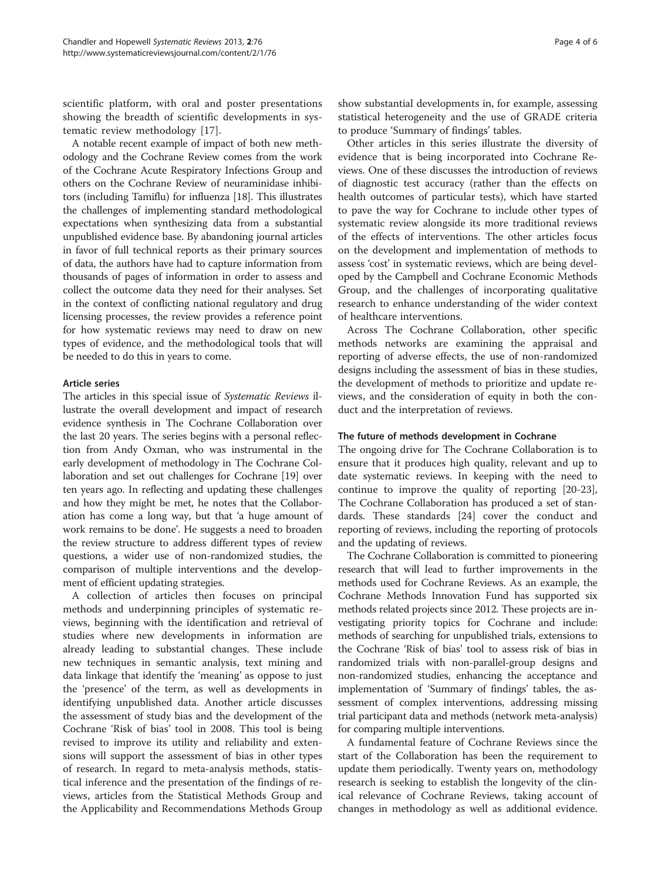scientific platform, with oral and poster presentations showing the breadth of scientific developments in systematic review methodology [[17\]](#page-4-0).

A notable recent example of impact of both new methodology and the Cochrane Review comes from the work of the Cochrane Acute Respiratory Infections Group and others on the Cochrane Review of neuraminidase inhibitors (including Tamiflu) for influenza [\[18\]](#page-4-0). This illustrates the challenges of implementing standard methodological expectations when synthesizing data from a substantial unpublished evidence base. By abandoning journal articles in favor of full technical reports as their primary sources of data, the authors have had to capture information from thousands of pages of information in order to assess and collect the outcome data they need for their analyses. Set in the context of conflicting national regulatory and drug licensing processes, the review provides a reference point for how systematic reviews may need to draw on new types of evidence, and the methodological tools that will be needed to do this in years to come.

### Article series

The articles in this special issue of Systematic Reviews illustrate the overall development and impact of research evidence synthesis in The Cochrane Collaboration over the last 20 years. The series begins with a personal reflection from Andy Oxman, who was instrumental in the early development of methodology in The Cochrane Collaboration and set out challenges for Cochrane [[19](#page-5-0)] over ten years ago. In reflecting and updating these challenges and how they might be met, he notes that the Collaboration has come a long way, but that 'a huge amount of work remains to be done'. He suggests a need to broaden the review structure to address different types of review questions, a wider use of non-randomized studies, the comparison of multiple interventions and the development of efficient updating strategies.

A collection of articles then focuses on principal methods and underpinning principles of systematic reviews, beginning with the identification and retrieval of studies where new developments in information are already leading to substantial changes. These include new techniques in semantic analysis, text mining and data linkage that identify the 'meaning' as oppose to just the 'presence' of the term, as well as developments in identifying unpublished data. Another article discusses the assessment of study bias and the development of the Cochrane 'Risk of bias' tool in 2008. This tool is being revised to improve its utility and reliability and extensions will support the assessment of bias in other types of research. In regard to meta-analysis methods, statistical inference and the presentation of the findings of reviews, articles from the Statistical Methods Group and the Applicability and Recommendations Methods Group

show substantial developments in, for example, assessing statistical heterogeneity and the use of GRADE criteria to produce 'Summary of findings' tables.

Other articles in this series illustrate the diversity of evidence that is being incorporated into Cochrane Reviews. One of these discusses the introduction of reviews of diagnostic test accuracy (rather than the effects on health outcomes of particular tests), which have started to pave the way for Cochrane to include other types of systematic review alongside its more traditional reviews of the effects of interventions. The other articles focus on the development and implementation of methods to assess 'cost' in systematic reviews, which are being developed by the Campbell and Cochrane Economic Methods Group, and the challenges of incorporating qualitative research to enhance understanding of the wider context of healthcare interventions.

Across The Cochrane Collaboration, other specific methods networks are examining the appraisal and reporting of adverse effects, the use of non-randomized designs including the assessment of bias in these studies, the development of methods to prioritize and update reviews, and the consideration of equity in both the conduct and the interpretation of reviews.

### The future of methods development in Cochrane

The ongoing drive for The Cochrane Collaboration is to ensure that it produces high quality, relevant and up to date systematic reviews. In keeping with the need to continue to improve the quality of reporting [\[20-23](#page-5-0)], The Cochrane Collaboration has produced a set of standards. These standards [[24\]](#page-5-0) cover the conduct and reporting of reviews, including the reporting of protocols and the updating of reviews.

The Cochrane Collaboration is committed to pioneering research that will lead to further improvements in the methods used for Cochrane Reviews. As an example, the Cochrane Methods Innovation Fund has supported six methods related projects since 2012. These projects are investigating priority topics for Cochrane and include: methods of searching for unpublished trials, extensions to the Cochrane 'Risk of bias' tool to assess risk of bias in randomized trials with non-parallel-group designs and non-randomized studies, enhancing the acceptance and implementation of 'Summary of findings' tables, the assessment of complex interventions, addressing missing trial participant data and methods (network meta-analysis) for comparing multiple interventions.

A fundamental feature of Cochrane Reviews since the start of the Collaboration has been the requirement to update them periodically. Twenty years on, methodology research is seeking to establish the longevity of the clinical relevance of Cochrane Reviews, taking account of changes in methodology as well as additional evidence.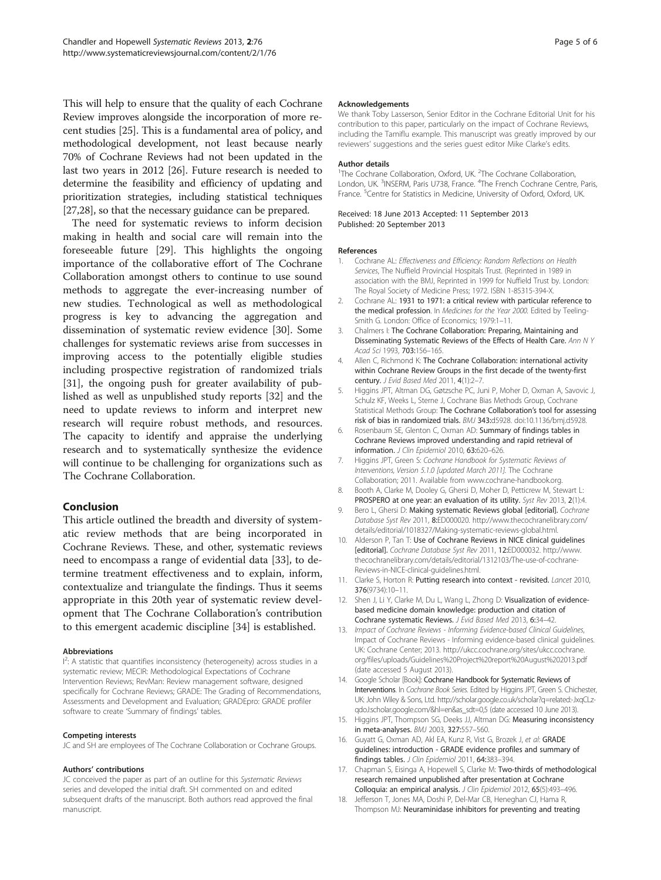<span id="page-4-0"></span>This will help to ensure that the quality of each Cochrane Review improves alongside the incorporation of more recent studies [\[25\]](#page-5-0). This is a fundamental area of policy, and methodological development, not least because nearly 70% of Cochrane Reviews had not been updated in the last two years in 2012 [\[26\]](#page-5-0). Future research is needed to determine the feasibility and efficiency of updating and prioritization strategies, including statistical techniques [[27,28](#page-5-0)], so that the necessary guidance can be prepared.

The need for systematic reviews to inform decision making in health and social care will remain into the foreseeable future [[29](#page-5-0)]. This highlights the ongoing importance of the collaborative effort of The Cochrane Collaboration amongst others to continue to use sound methods to aggregate the ever-increasing number of new studies. Technological as well as methodological progress is key to advancing the aggregation and dissemination of systematic review evidence [[30](#page-5-0)]. Some challenges for systematic reviews arise from successes in improving access to the potentially eligible studies including prospective registration of randomized trials [[31\]](#page-5-0), the ongoing push for greater availability of published as well as unpublished study reports [[32](#page-5-0)] and the need to update reviews to inform and interpret new research will require robust methods, and resources. The capacity to identify and appraise the underlying research and to systematically synthesize the evidence will continue to be challenging for organizations such as The Cochrane Collaboration.

## Conclusion

This article outlined the breadth and diversity of systematic review methods that are being incorporated in Cochrane Reviews. These, and other, systematic reviews need to encompass a range of evidential data [[33\]](#page-5-0), to determine treatment effectiveness and to explain, inform, contextualize and triangulate the findings. Thus it seems appropriate in this 20th year of systematic review development that The Cochrane Collaboration's contribution to this emergent academic discipline [[34](#page-5-0)] is established.

#### Abbreviations

<sup>12</sup>: A statistic that quantifies inconsistency (heterogeneity) across studies in a systematic review; MECIR: Methodological Expectations of Cochrane Intervention Reviews; RevMan: Review management software, designed specifically for Cochrane Reviews; GRADE: The Grading of Recommendations, Assessments and Development and Evaluation; GRADEpro: GRADE profiler software to create 'Summary of findings' tables.

#### Competing interests

JC and SH are employees of The Cochrane Collaboration or Cochrane Groups.

#### Authors' contributions

JC conceived the paper as part of an outline for this Systematic Reviews series and developed the initial draft. SH commented on and edited subsequent drafts of the manuscript. Both authors read approved the final manuscript.

#### Acknowledgements

We thank Toby Lasserson, Senior Editor in the Cochrane Editorial Unit for his contribution to this paper, particularly on the impact of Cochrane Reviews, including the Tamiflu example. This manuscript was greatly improved by our reviewers' suggestions and the series guest editor Mike Clarke's edits.

#### Author details

<sup>1</sup>The Cochrane Collaboration, Oxford, UK. <sup>2</sup>The Cochrane Collaboration, London, UK.<sup>3</sup>INSERM, Paris U738, France. <sup>4</sup>The French Cochrane Centre, Paris, France.<sup>5</sup> Centre for Statistics in Medicine, University of Oxford, Oxford, UK

Received: 18 June 2013 Accepted: 11 September 2013 Published: 20 September 2013

#### References

- 1. Cochrane AL: Effectiveness and Efficiency: Random Reflections on Health Services, The Nuffield Provincial Hospitals Trust. (Reprinted in 1989 in association with the BMJ, Reprinted in 1999 for Nuffield Trust by. London: The Royal Society of Medicine Press; 1972. ISBN 1-85315-394-X.
- 2. Cochrane AL: 1931 to 1971: a critical review with particular reference to the medical profession. In Medicines for the Year 2000. Edited by Teeling-Smith G. London: Office of Economics; 1979:1–11.
- 3. Chalmers I: The Cochrane Collaboration: Preparing, Maintaining and Disseminating Systematic Reviews of the Effects of Health Care. Ann N Y Acad Sci 1993, 703:156–165.
- 4. Allen C, Richmond K: The Cochrane Collaboration: international activity within Cochrane Review Groups in the first decade of the twenty-first century. J Evid Based Med 2011, 4(1):2-7.
- 5. Higgins JPT, Altman DG, Gøtzsche PC, Juni P, Moher D, Oxman A, Savovic J, Schulz KF, Weeks L, Sterne J, Cochrane Bias Methods Group, Cochrane Statistical Methods Group: The Cochrane Collaboration's tool for assessing risk of bias in randomized trials. BMJ 343:d5928. doi:10.1136/bmj.d5928.
- 6. Rosenbaum SE, Glenton C, Oxman AD: Summary of findings tables in Cochrane Reviews improved understanding and rapid retrieval of information. J Clin Epidemiol 2010, 63:620–626.
- 7. Higgins JPT, Green S: Cochrane Handbook for Systematic Reviews of Interventions, Version 5.1.0 [updated March 2011]. The Cochrane Collaboration; 2011. Available from [www.cochrane-handbook.org](http://www.cochrane-handbook.org).
- 8. Booth A, Clarke M, Dooley G, Ghersi D, Moher D, Petticrew M, Stewart L: PROSPERO at one year: an evaluation of its utility. Syst Rev 2013, 2(1):4.
- 9. Bero L, Ghersi D: Making systematic Reviews global [editorial]. Cochrane Database Syst Rev 2011, 8:ED000020. [http://www.thecochranelibrary.com/](http://www.thecochranelibrary.com/details/editorial/1018327/Making-systematic-reviews-global.html) [details/editorial/1018327/Making-systematic-reviews-global.html.](http://www.thecochranelibrary.com/details/editorial/1018327/Making-systematic-reviews-global.html)
- 10. Alderson P, Tan T: Use of Cochrane Reviews in NICE clinical quidelines [editorial]. Cochrane Database Syst Rev 2011, 12:ED000032. [http://www.](http://www.thecochranelibrary.com/details/editorial/1312103/The-use-of-cochrane-Reviews-in-NICE-clinical-guidelines.html) [thecochranelibrary.com/details/editorial/1312103/The-use-of-cochrane-](http://www.thecochranelibrary.com/details/editorial/1312103/The-use-of-cochrane-Reviews-in-NICE-clinical-guidelines.html)[Reviews-in-NICE-clinical-guidelines.html.](http://www.thecochranelibrary.com/details/editorial/1312103/The-use-of-cochrane-Reviews-in-NICE-clinical-guidelines.html)
- 11. Clarke S, Horton R: Putting research into context revisited. Lancet 2010, 376(9734):10–11.
- 12. Shen J, Li Y, Clarke M, Du L, Wang L, Zhong D: Visualization of evidencebased medicine domain knowledge: production and citation of Cochrane systematic Reviews. J Evid Based Med 2013, 6:34–42.
- 13. Impact of Cochrane Reviews Informing Evidence-based Clinical Guidelines, Impact of Cochrane Reviews - Informing evidence-based clinical guidelines. UK: Cochrane Center; 2013. [http://ukcc.cochrane.org/sites/ukcc.cochrane.](http://ukcc.cochrane.org/sites/ukcc.cochrane.org/files/uploads/Guidelines%20Project%20report%20August%202013.pdf) [org/files/uploads/Guidelines%20Project%20report%20August%202013.pdf](http://ukcc.cochrane.org/sites/ukcc.cochrane.org/files/uploads/Guidelines%20Project%20report%20August%202013.pdf) (date accessed 5 August 2013).
- 14. Google Scholar [Book]: Cochrane Handbook for Systematic Reviews of Interventions. In Cochrane Book Series. Edited by Higgins JPT, Green S. Chichester, UK: John Wiley & Sons, Ltd. [http://scholar.google.co.uk/scholar?q=related:-JxqCLz](http://scholar.google.co.uk/scholar?q=related:-JxqCLz-qdoJ:scholar.google.com/&hl=en&as_sdt=0,5)[qdoJ:scholar.google.com/&hl=en&as\\_sdt=0,5](http://scholar.google.co.uk/scholar?q=related:-JxqCLz-qdoJ:scholar.google.com/&hl=en&as_sdt=0,5) (date accessed 10 June 2013).
- 15. Higgins JPT, Thompson SG, Deeks JJ, Altman DG: Measuring inconsistency in meta-analyses. BMJ 2003, 327:557–560.
- 16. Guyatt G, Oxman AD, Akl EA, Kunz R, Vist G, Brozek J, et al: GRADE guidelines: introduction - GRADE evidence profiles and summary of findings tables. J Clin Epidemiol 2011, 64:383-394.
- 17. Chapman S, Eisinga A, Hopewell S, Clarke M: Two-thirds of methodological research remained unpublished after presentation at Cochrane Colloquia: an empirical analysis. J Clin Epidemiol 2012, 65(5):493-496.
- 18. Jefferson T, Jones MA, Doshi P, Del-Mar CB, Heneghan CJ, Hama R, Thompson MJ: Neuraminidase inhibitors for preventing and treating